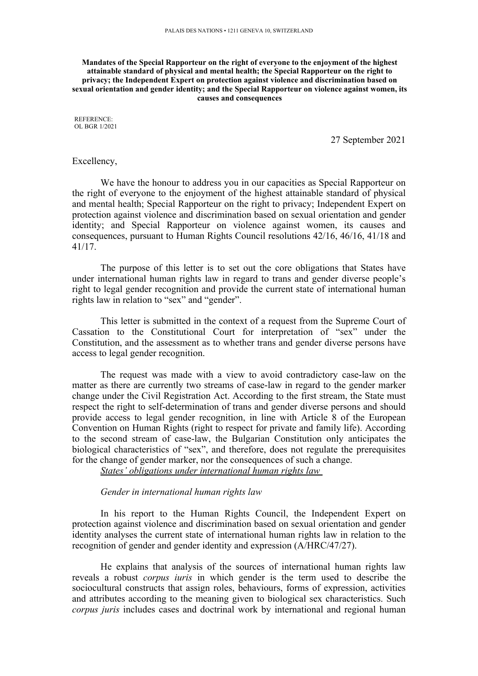**Mandates of the Special Rapporteur on the right of everyone to the enjoyment of the highest attainable standard of physical and mental health; the Special Rapporteur on the right to privacy; the Independent Expert on protection against violence and discrimination based on sexual orientation and gender identity; and the Special Rapporteur on violence against women, its causes and consequences**

REFERENCE: OL BGR 1/2021

27 September 2021

#### Excellency,

We have the honour to address you in our capacities as Special Rapporteur on the right of everyone to the enjoyment of the highest attainable standard of physical and mental health; Special Rapporteur on the right to privacy; Independent Expert on protection against violence and discrimination based on sexual orientation and gender identity; and Special Rapporteur on violence against women, its causes and consequences, pursuan<sup>t</sup> to Human Rights Council resolutions 42/16, 46/16, 41/18 and 41/17.

The purpose of this letter is to set out the core obligations that States have under international human rights law in regard to trans and gender diverse people'<sup>s</sup> right to legal gender recognition and provide the current state of international human rights law in relation to "sex" and "gender".

This letter is submitted in the context of <sup>a</sup> reques<sup>t</sup> from the Supreme Court of Cassation to the Constitutional Court for interpretation of "sex" under the Constitution, and the assessment as to whether trans and gender diverse persons have access to legal gender recognition.

The reques<sup>t</sup> was made with <sup>a</sup> view to avoid contradictory case-law on the matter as there are currently two streams of case-law in regard to the gender marker change under the Civil Registration Act. According to the first stream, the State must respec<sup>t</sup> the right to self-determination of trans and gender diverse persons and should provide access to legal gender recognition, in line with Article 8 of the European Convention on Human Rights (right to respec<sup>t</sup> for private and family life). According to the second stream of case-law, the Bulgarian Constitution only anticipates the biological characteristics of "sex", and therefore, does not regulate the prerequisites for the change of gender marker, nor the consequences of such <sup>a</sup> change.

*States' obligations under international human rights law*

#### *Gender in international human rights law*

In his repor<sup>t</sup> to the Human Rights Council, the Independent Expert on protection against violence and discrimination based on sexual orientation and gender identity analyses the current state of international human rights law in relation to the recognition of gender and gender identity and expression (A/HRC/47/27).

He explains that analysis of the sources of international human rights law reveals <sup>a</sup> robust *corpus iuris* in which gender is the term used to describe the sociocultural constructs that assign roles, behaviours, forms of expression, activities and attributes according to the meaning given to biological sex characteristics. Such *corpus juris* includes cases and doctrinal work by international and regional human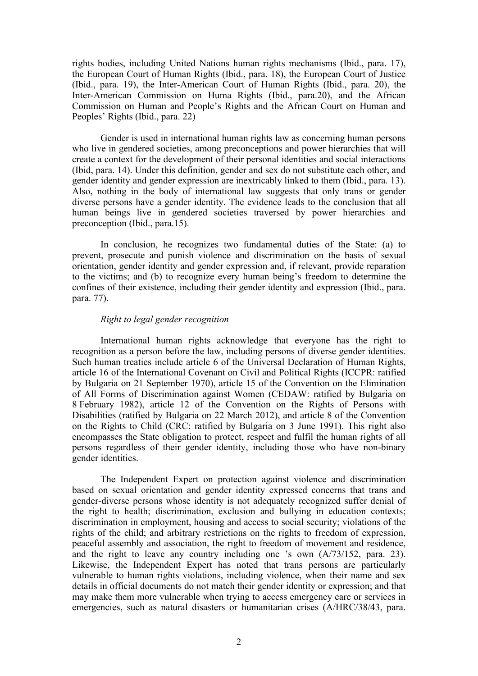rights bodies, including United Nations human rights mechanisms (Ibid., para. 17), the European Court of Human Rights (Ibid., para. 18), the European Court of Justice (Ibid., para. 19), the Inter-American Court of Human Rights (Ibid., para. 20), the Inter-American Commission on Huma Rights (Ibid., para.20), and the African Commission on Human and People'<sup>s</sup> Rights and the African Court on Human and Peoples' Rights (Ibid., para. 22)

Gender is used in international human rights law as concerning human persons who live in gendered societies, among preconceptions and power hierarchies that will create <sup>a</sup> context for the development of their personal identities and social interactions (Ibid, para. 14). Under this definition, gender and sex do not substitute each other, and gender identity and gender expression are inextricably linked to them (Ibid., para. 13). Also, nothing in the body of international law suggests that only trans or gender diverse persons have <sup>a</sup> gender identity. The evidence leads to the conclusion that all human beings live in gendered societies traversed by power hierarchies and preconception (Ibid., para.15).

In conclusion, he recognizes two fundamental duties of the State: (a) to prevent, prosecute and punish violence and discrimination on the basis of sexual orientation, gender identity and gender expression and, if relevant, provide reparation to the victims; and (b) to recognize every human being'<sup>s</sup> freedom to determine the confines of their existence, including their gender identity and expression (Ibid., para. para. 77).

## *Right to legal gender recognition*

International human rights acknowledge that everyone has the right to recognition as <sup>a</sup> person before the law, including persons of diverse gender identities. Such human treaties include article 6 of the Universal Declaration of Human Rights, article 16 of the International Covenant on Civil and Political Rights (ICCPR: ratified by Bulgaria on 21 September 1970), article 15 of the Convention on the Elimination of All Forms of Discrimination against Women (CEDAW: ratified by Bulgaria on 8 February 1982), article 12 of the Convention on the Rights of Persons with Disabilities (ratified by Bulgaria on 22 March 2012), and article 8 of the Convention on the Rights to Child (CRC: ratified by Bulgaria on 3 June 1991). This right also encompasses the State obligation to protect, respec<sup>t</sup> and fulfil the human rights of all persons regardless of their gender identity, including those who have non-binary gender identities.

The Independent Expert on protection against violence and discrimination based on sexual orientation and gender identity expressed concerns that trans and gender-diverse persons whose identity is not adequately recognized suffer denial of the right to health; discrimination, exclusion and bullying in education contexts; discrimination in employment, housing and access to social security; violations of the rights of the child; and arbitrary restrictions on the rights to freedom of expression, peaceful assembly and association, the right to freedom of movement and residence, and the right to leave any country including one '<sup>s</sup> own (A/73/152, para. 23). Likewise, the Independent Expert has noted that trans persons are particularly vulnerable to human rights violations, including violence, when their name and sex details in official documents do not match their gender identity or expression; and that may make them more vulnerable when trying to access emergency care or services in emergencies, such as natural disasters or humanitarian crises (A/HRC/38/43, para.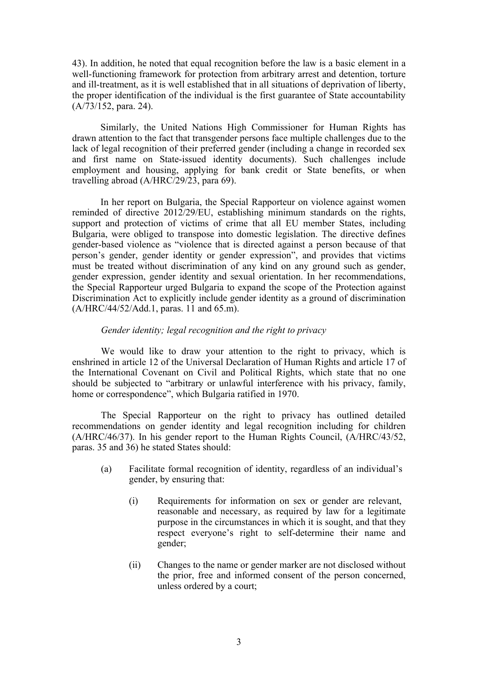43). In addition, he noted that equal recognition before the law is <sup>a</sup> basic element in <sup>a</sup> well-functioning framework for protection from arbitrary arrest and detention, torture and ill-treatment, as it is well established that in all situations of deprivation of liberty, the proper identification of the individual is the first guarantee of State accountability (A/73/152, para. 24).

Similarly, the United Nations High Commissioner for Human Rights has drawn attention to the fact that transgender persons face multiple challenges due to the lack of legal recognition of their preferred gender (including <sup>a</sup> change in recorded sex and first name on State-issued identity documents). Such challenges include employment and housing, applying for bank credit or State benefits, or when travelling abroad (A/HRC/29/23, para 69).

In her repor<sup>t</sup> on Bulgaria, the Special Rapporteur on violence against women reminded of directive 2012/29/EU, establishing minimum standards on the rights, suppor<sup>t</sup> and protection of victims of crime that all EU member States, including Bulgaria, were obliged to transpose into domestic legislation. The directive defines gender-based violence as "violence that is directed against <sup>a</sup> person because of that person'<sup>s</sup> gender, gender identity or gender expression", and provides that victims must be treated without discrimination of any kind on any ground such as gender, gender expression, gender identity and sexual orientation. In her recommendations, the Special Rapporteur urged Bulgaria to expand the scope of the Protection against Discrimination Act to explicitly include gender identity as <sup>a</sup> ground of discrimination (A/HRC/44/52/Add.1, paras. 11 and 65.m).

# *Gender identity; legal recognition and the right to privacy*

We would like to draw your attention to the right to privacy, which is enshrined in article 12 of the Universal Declaration of Human Rights and article 17 of the International Covenant on Civil and Political Rights, which state that no one should be subjected to "arbitrary or unlawful interference with his privacy, family, home or correspondence", which Bulgaria ratified in 1970.

The Special Rapporteur on the right to privacy has outlined detailed recommendations on gender identity and legal recognition including for children (A/HRC/46/37). In his gender repor<sup>t</sup> to the Human Rights Council, (A/HRC/43/52, paras. 35 and 36) he stated States should:

- (a) Facilitate formal recognition of identity, regardless of an individual'<sup>s</sup> gender, by ensuring that:
	- (i) Requirements for information on sex or gender are relevant, reasonable and necessary, as required by law for <sup>a</sup> legitimate purpose in the circumstances in which it is sought, and that they respec<sup>t</sup> everyone'<sup>s</sup> right to self-determine their name and gender;
	- (ii) Changes to the name or gender marker are not disclosed without the prior, free and informed consent of the person concerned, unless ordered by <sup>a</sup> court;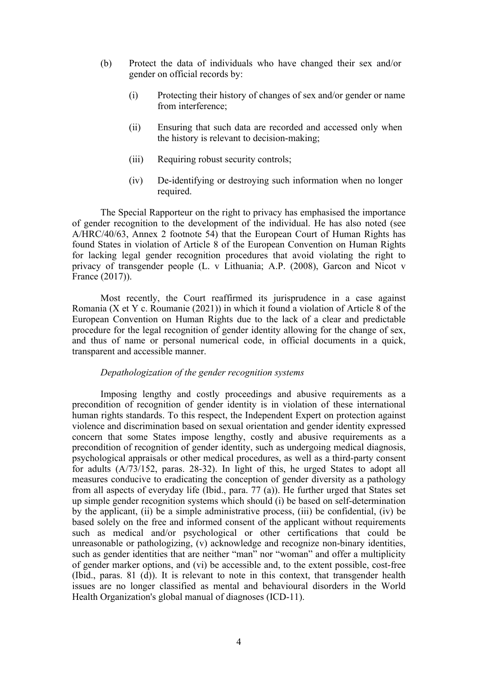- (b) Protect the data of individuals who have changed their sex and/or gender on official records by:
	- (i) Protecting their history of changes of sex and/or gender or name from interference;
	- (ii) Ensuring that such data are recorded and accessed only when the history is relevant to decision-making;
	- (iii) Requiring robust security controls;
	- (iv) De-identifying or destroying such information when no longer required.

The Special Rapporteur on the right to privacy has emphasised the importance of gender recognition to the development of the individual. He has also noted (see A/HRC/40/63, Annex 2 footnote 54) that the European Court of Human Rights has found States in violation of Article 8 of the European Convention on Human Rights for lacking legal gender recognition procedures that avoid violating the right to privacy of transgender people (L. <sup>v</sup> Lithuania; A.P. (2008), Garcon and Nicot <sup>v</sup> France (2017)).

Most recently, the Court reaffirmed its jurisprudence in <sup>a</sup> case against Romania (X et Y c. Roumanie (2021)) in which it found <sup>a</sup> violation of Article 8 of the European Convention on Human Rights due to the lack of <sup>a</sup> clear and predictable procedure for the legal recognition of gender identity allowing for the change of sex, and thus of name or personal numerical code, in official documents in <sup>a</sup> quick, transparent and accessible manner.

## *Depathologization of the gender recognition systems*

Imposing lengthy and costly proceedings and abusive requirements as <sup>a</sup> precondition of recognition of gender identity is in violation of these international human rights standards. To this respect, the Independent Expert on protection against violence and discrimination based on sexual orientation and gender identity expressed concern that some States impose lengthy, costly and abusive requirements as <sup>a</sup> precondition of recognition of gender identity, such as undergoing medical diagnosis, psychological appraisals or other medical procedures, as well as <sup>a</sup> third-party consent for adults (A/73/152, paras. 28-32). In light of this, he urged States to adopt all measures conducive to eradicating the conception of gender diversity as <sup>a</sup> pathology from all aspects of everyday life (Ibid., para. 77 (a)). He further urged that States set up simple gender recognition systems which should (i) be based on self-determination by the applicant, (ii) be <sup>a</sup> simple administrative process, (iii) be confidential, (iv) be based solely on the free and informed consent of the applicant without requirements such as medical and/or psychological or other certifications that could be unreasonable or pathologizing, (v) acknowledge and recognize non-binary identities, such as gender identities that are neither "man" nor "woman" and offer <sup>a</sup> multiplicity of gender marker options, and (vi) be accessible and, to the extent possible, cost-free (Ibid., paras. 81 (d)). It is relevant to note in this context, that transgender health issues are no longer classified as mental and behavioural disorders in the World Health Organization's global manual of diagnoses (ICD-11).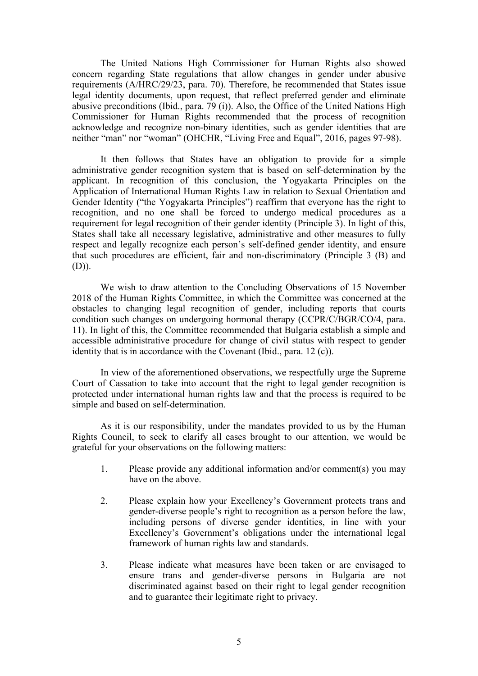The United Nations High Commissioner for Human Rights also showed concern regarding State regulations that allow changes in gender under abusive requirements (A/HRC/29/23, para. 70). Therefore, he recommended that States issue legal identity documents, upon request, that reflect preferred gender and eliminate abusive preconditions (Ibid., para. 79 (i)). Also, the Office of the United Nations High Commissioner for Human Rights recommended that the process of recognition acknowledge and recognize non-binary identities, such as gender identities that are neither "man" nor "woman" (OHCHR, "Living Free and Equal", 2016, pages 97-98).

It then follows that States have an obligation to provide for <sup>a</sup> simple administrative gender recognition system that is based on self-determination by the applicant. In recognition of this conclusion, the Yogyakarta Principles on the Application of International Human Rights Law in relation to Sexual Orientation and Gender Identity ("the Yogyakarta Principles") reaffirm that everyone has the right to recognition, and no one shall be forced to undergo medical procedures as <sup>a</sup> requirement for legal recognition of their gender identity (Principle 3). In light of this, States shall take all necessary legislative, administrative and other measures to fully respec<sup>t</sup> and legally recognize each person'<sup>s</sup> self-defined gender identity, and ensure that such procedures are efficient, fair and non-discriminatory (Principle 3 (B) and (D)).

We wish to draw attention to the Concluding Observations of 15 November 2018 of the Human Rights Committee, in which the Committee was concerned at the obstacles to changing legal recognition of gender, including reports that courts condition such changes on undergoing hormonal therapy (CCPR/C/BGR/CO/4, para. 11). In light of this, the Committee recommended that Bulgaria establish <sup>a</sup> simple and accessible administrative procedure for change of civil status with respec<sup>t</sup> to gender identity that is in accordance with the Covenant (Ibid., para. 12 (c)).

In view of the aforementioned observations, we respectfully urge the Supreme Court of Cassation to take into account that the right to legal gender recognition is protected under international human rights law and that the process is required to be simple and based on self-determination.

As it is our responsibility, under the mandates provided to us by the Human Rights Council, to seek to clarify all cases brought to our attention, we would be grateful for your observations on the following matters:

- 1. Please provide any additional information and/or comment(s) you may have on the above.
- 2. Please explain how your Excellency'<sup>s</sup> Government protects trans and gender-diverse people'<sup>s</sup> right to recognition as <sup>a</sup> person before the law, including persons of diverse gender identities, in line with your Excellency'<sup>s</sup> Government'<sup>s</sup> obligations under the international legal framework of human rights law and standards.
- 3. Please indicate what measures have been taken or are envisaged to ensure trans and gender-diverse persons in Bulgaria are not discriminated against based on their right to legal gender recognition and to guarantee their legitimate right to privacy.